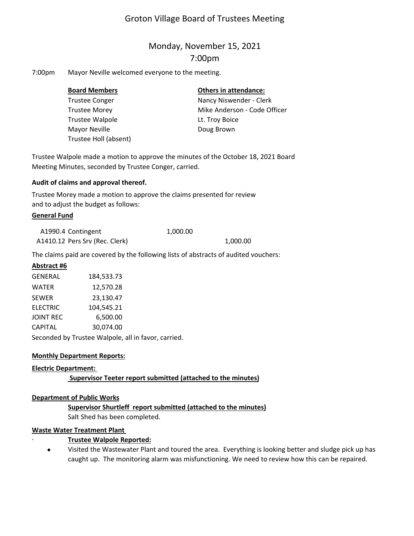# Groton Village Board of Trustees Meeting

# Monday, November 15, 2021 7:00pm

7:00pm Mayor Neville welcomed everyone to the meeting.

| <b>Board Members</b>  | <b>Others in attendance:</b> |  |  |
|-----------------------|------------------------------|--|--|
| <b>Trustee Conger</b> | Nancy Niswender - Clerk      |  |  |
| <b>Trustee Morey</b>  | Mike Anderson - Code Officer |  |  |
| Trustee Walpole       | Lt. Troy Boice               |  |  |
| Mayor Neville         | Doug Brown                   |  |  |
| Trustee Holl (absent) |                              |  |  |

Trustee Walpole made a motion to approve the minutes of the October 18, 2021 Board Meeting Minutes, seconded by Trustee Conger, carried.

### **Audit of claims and approval thereof.**

Trustee Morey made a motion to approve the claims presented for review and to adjust the budget as follows:

### **General Fund**

| A1990.4 Contingent             | 1,000.00 |          |
|--------------------------------|----------|----------|
| A1410.12 Pers Srv (Rec. Clerk) |          | 1,000.00 |

The claims paid are covered by the following lists of abstracts of audited vouchers:

### **Abstract #6**

| <b>GENERAL</b>   | 184,533.73 |  |
|------------------|------------|--|
| <b>WATER</b>     | 12,570.28  |  |
| <b>SEWER</b>     | 23,130.47  |  |
| <b>ELECTRIC</b>  | 104,545.21 |  |
| <b>JOINT REC</b> | 6,500.00   |  |
| <b>CAPITAL</b>   | 30,074.00  |  |
|                  |            |  |

Seconded by Trustee Walpole, all in favor, carried.

# **Monthly Department Reports:**

#### **Electric Department:**

# **Supervisor Teeter report submitted (attached to the minutes)**

#### **Department of Public Works**

#### **Supervisor Shurtleff report submitted (attached to the minutes)** Salt Shed has been completed.

# **Waste Water Treatment Plant**

# ∙ **Trustee Walpole Reported:**

 $\bullet$ Visited the Wastewater Plant and toured the area. Everything is looking better and sludge pick up has caught up. The monitoring alarm was misfunctioning. We need to review how this can be repaired.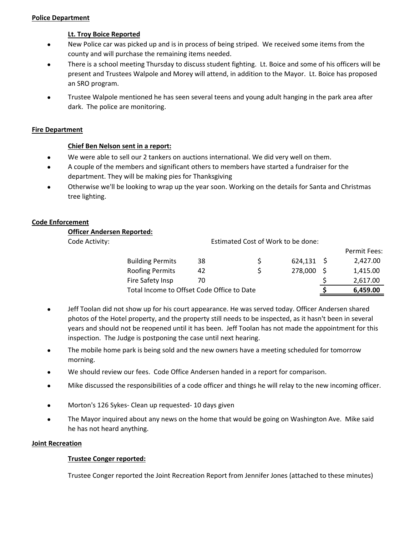#### **Police Department**

### **Lt. Troy Boice Reported**

- $\bullet$ New Police car was picked up and is in process of being striped. We received some items from the county and will purchase the remaining items needed.
- $\bullet$ There is a school meeting Thursday to discuss student fighting. Lt. Boice and some of his officers will be present and Trustees Walpole and Morey will attend, in addition to the Mayor. Lt. Boice has proposed an SRO program.
- $\bullet$ Trustee Walpole mentioned he has seen several teens and young adult hanging in the park area after dark. The police are monitoring.

### **Fire Department**

### **Chief Ben Nelson sent in a report:**

- $\bullet$ We were able to sell our 2 tankers on auctions international. We did very well on them.
- $\bullet$ A couple of the members and significant others to members have started a fundraiser for the department. They will be making pies for Thanksgiving
- $\bullet$ Otherwise we'll be looking to wrap up the year soon. Working on the details for Santa and Christmas tree lighting.

### **Code Enforcement**

**Officer Andersen Reported:**

Code Activity:

Estimated Cost of Work to be done:

|                                            |    |   |              |          | Permit Fees: |
|--------------------------------------------|----|---|--------------|----------|--------------|
| <b>Building Permits</b>                    | 38 | S | $624,131$ \$ |          | 2,427.00     |
| <b>Roofing Permits</b>                     | 42 |   | 278,000      | - S      | 1,415.00     |
| Fire Safety Insp                           | 70 |   |              |          | 2,617.00     |
| Total Income to Offset Code Office to Date |    |   |              | 6,459.00 |              |

- $\bullet$ Jeff Toolan did not show up for his court appearance. He was served today. Officer Andersen shared photos of the Hotel property, and the property still needs to be inspected, as it hasn't been in several years and should not be reopened until it has been. Jeff Toolan has not made the appointment for this inspection. The Judge is postponing the case until next hearing.
- $\bullet$ The mobile home park is being sold and the new owners have a meeting scheduled for tomorrow morning.
- $\bullet$ We should review our fees. Code Office Andersen handed in a report for comparison.
- $\bullet$ Mike discussed the responsibilities of a code officer and things he will relay to the new incoming officer.
- $\bullet$ Morton's 126 Sykes‐ Clean up requested‐ 10 days given
- $\bullet$ The Mayor inquired about any news on the home that would be going on Washington Ave. Mike said he has not heard anything.

#### **Joint Recreation**

#### **Trustee Conger reported:**

Trustee Conger reported the Joint Recreation Report from Jennifer Jones (attached to these minutes)